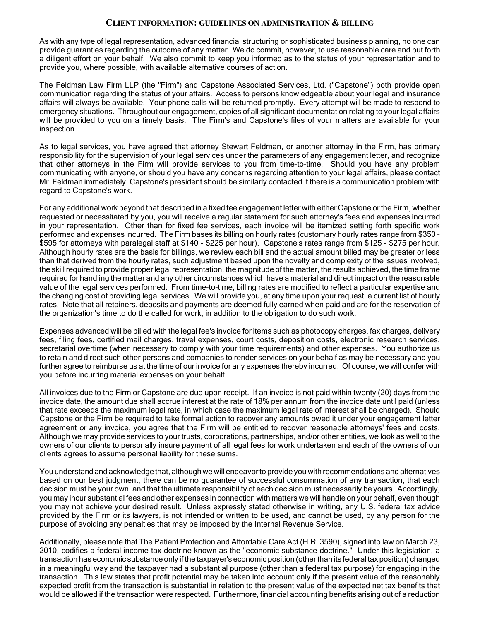## **CLIENT INFORMATION: GUIDELINES ON ADMINISTRATION & BILLING**

As with any type of legal representation, advanced financial structuring or sophisticated business planning, no one can provide guaranties regarding the outcome of any matter. We do commit, however, to use reasonable care and put forth a diligent effort on your behalf. We also commit to keep you informed as to the status of your representation and to provide you, where possible, with available alternative courses of action.

The Feldman Law Firm LLP (the "Firm") and Capstone Associated Services, Ltd. ("Capstone") both provide open communication regarding the status of your affairs. Access to persons knowledgeable about your legal and insurance affairs will always be available. Your phone calls will be returned promptly. Every attempt will be made to respond to emergency situations. Throughout our engagement, copies of all significant documentation relating to your legal affairs will be provided to you on a timely basis. The Firm's and Capstone's files of your matters are available for your inspection.

As to legal services, you have agreed that attorney Stewart Feldman, or another attorney in the Firm, has primary responsibility for the supervision of your legal services under the parameters of any engagement letter, and recognize that other attorneys in the Firm will provide services to you from time-to-time. Should you have any problem communicating with anyone, or should you have any concerns regarding attention to your legal affairs, please contact Mr. Feldman immediately. Capstone's president should be similarly contacted if there is a communication problem with regard to Capstone's work.

For any additional work beyond that described in a fixed fee engagement letter with either Capstone or the Firm, whether requested or necessitated by you, you will receive a regular statement for such attorney's fees and expenses incurred in your representation. Other than for fixed fee services, each invoice will be itemized setting forth specific work performed and expenses incurred. The Firm bases its billing on hourly rates (customary hourly rates range from \$350 - \$595 for attorneys with paralegal staff at \$140 - \$225 per hour). Capstone's rates range from \$125 - \$275 per hour. Although hourly rates are the basis for billings, we review each bill and the actual amount billed may be greater or less than that derived from the hourly rates, such adjustment based upon the novelty and complexity of the issues involved, the skill required to provide proper legal representation, the magnitude of the matter, the results achieved, the time frame required for handling the matter and any other circumstances which have a material and direct impact on the reasonable value of the legal services performed. From time-to-time, billing rates are modified to reflect a particular expertise and the changing cost of providing legal services. We will provide you, at any time upon your request, a current list of hourly rates. Note that all retainers, deposits and payments are deemed fully earned when paid and are for the reservation of the organization's time to do the called for work, in addition to the obligation to do such work.

Expenses advanced will be billed with the legal fee's invoice for items such as photocopy charges, fax charges, delivery fees, filing fees, certified mail charges, travel expenses, court costs, deposition costs, electronic research services, secretarial overtime (when necessary to comply with your time requirements) and other expenses. You authorize us to retain and direct such other persons and companies to render services on your behalf as may be necessary and you further agree to reimburse us at the time of our invoice for any expenses thereby incurred. Of course, we will confer with you before incurring material expenses on your behalf.

All invoices due to the Firm or Capstone are due upon receipt. If an invoice is not paid within twenty (20) days from the invoice date, the amount due shall accrue interest at the rate of 18% per annum from the invoice date until paid (unless that rate exceeds the maximum legal rate, in which case the maximum legal rate of interest shall be charged). Should Capstone or the Firm be required to take formal action to recover any amounts owed it under your engagement letter agreement or any invoice, you agree that the Firm will be entitled to recover reasonable attorneys' fees and costs. Although we may provide services to your trusts, corporations, partnerships, and/or other entities, we look as well to the owners of our clients to personally insure payment of all legal fees for work undertaken and each of the owners of our clients agrees to assume personal liability for these sums.

You understand and acknowledge that, although we will endeavor to provide you with recommendations and alternatives based on our best judgment, there can be no guarantee of successful consummation of any transaction, that each decision must be your own, and that the ultimate responsibility of each decision must necessarily be yours. Accordingly, you may incur substantial fees and other expenses in connection with matters we will handle on your behalf, even though you may not achieve your desired result. Unless expressly stated otherwise in writing, any U.S. federal tax advice provided by the Firm or its lawyers, is not intended or written to be used, and cannot be used, by any person for the purpose of avoiding any penalties that may be imposed by the Internal Revenue Service.

Additionally, please note that The Patient Protection and Affordable Care Act (H.R. 3590), signed into law on March 23, 2010, codifies a federal income tax doctrine known as the "economic substance doctrine." Under this legislation, a transaction has economic substance only if the taxpayer's economic position (other than its federal tax position) changed in a meaningful way and the taxpayer had a substantial purpose (other than a federal tax purpose) for engaging in the transaction. This law states that profit potential may be taken into account only if the present value of the reasonably expected profit from the transaction is substantial in relation to the present value of the expected net tax benefits that would be allowed if the transaction were respected. Furthermore, financial accounting benefits arising out of a reduction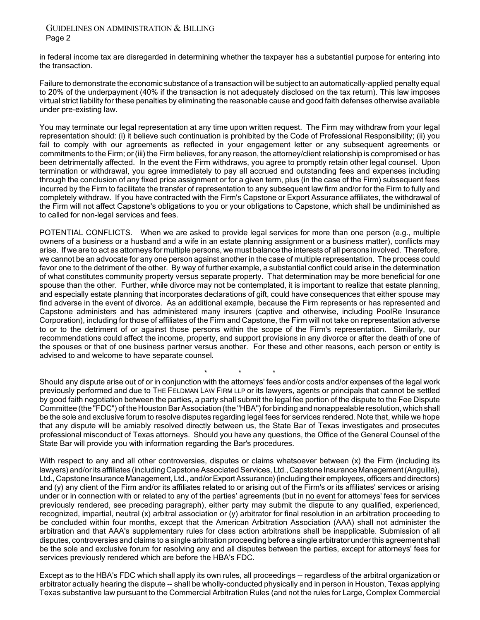## GUIDELINES ON ADMINISTRATION & BILLING Page 2

in federal income tax are disregarded in determining whether the taxpayer has a substantial purpose for entering into the transaction.

Failure to demonstrate the economic substance of a transaction will be subject to an automatically-applied penalty equal to 20% of the underpayment (40% if the transaction is not adequately disclosed on the tax return). This law imposes virtual strict liability for these penalties by eliminating the reasonable cause and good faith defenses otherwise available under pre-existing law.

You may terminate our legal representation at any time upon written request. The Firm may withdraw from your legal representation should: (i) it believe such continuation is prohibited by the Code of Professional Responsibility; (ii) you fail to comply with our agreements as reflected in your engagement letter or any subsequent agreements or commitments to the Firm; or (iii) the Firm believes, for any reason, the attorney/client relationship is compromised or has been detrimentally affected. In the event the Firm withdraws, you agree to promptly retain other legal counsel. Upon termination or withdrawal, you agree immediately to pay all accrued and outstanding fees and expenses including through the conclusion of any fixed price assignment or for a given term, plus (in the case of the Firm) subsequent fees incurred by the Firm to facilitate the transfer of representation to any subsequent law firm and/or for the Firm to fully and completely withdraw. If you have contracted with the Firm's Capstone or Export Assurance affiliates, the withdrawal of the Firm will not affect Capstone's obligations to you or your obligations to Capstone, which shall be undiminished as to called for non-legal services and fees.

*POTENTIAL CONFLICTS.* When we are asked to provide legal services for more than one person (e.g., multiple owners of a business or a husband and a wife in an estate planning assignment or a business matter), conflicts may arise. If we are to act as attorneys for multiple persons, we must balance the interests of all persons involved. Therefore, we cannot be an advocate for any one person against another in the case of multiple representation. The process could favor one to the detriment of the other. By way of further example, a substantial conflict could arise in the determination of what constitutes community property versus separate property. That determination may be more beneficial for one spouse than the other. Further, while divorce may not be contemplated, it is important to realize that estate planning, and especially estate planning that incorporates declarations of gift, could have consequences that either spouse may find adverse in the event of divorce. As an additional example, because the Firm represents or has represented and Capstone administers and has administered many insurers (captive and otherwise, including PoolRe Insurance Corporation), including for those of affiliates of the Firm and Capstone, the Firm will not take on representation adverse to or to the detriment of or against those persons within the scope of the Firm's representation. Similarly, our recommendations could affect the income, property, and support provisions in any divorce or after the death of one of the spouses or that of one business partner versus another. For these and other reasons, each person or entity is advised to and welcome to have separate counsel.

\* \* \*

Should any dispute arise out of or in conjunction with the attorneys' fees and/or costs and/or expenses of the legal work previously performed and due to THE FELDMAN LAW FIRM LLP or its lawyers, agents or principals that cannot be settled by good faith negotiation between the parties, a party shall submit the legal fee portion of the dispute to the Fee Dispute Committee (the "FDC") of the Houston Bar Association (the "HBA") for binding and nonappealable resolution, which shall be the sole and exclusive forum to resolve disputes regarding legal fees for services rendered. Note that, while we hope that any dispute will be amiably resolved directly between us, the State Bar of Texas investigates and prosecutes professional misconduct of Texas attorneys. Should you have any questions, the Office of the General Counsel of the State Bar will provide you with information regarding the Bar's procedures.

With respect to any and all other controversies, disputes or claims whatsoever between (x) the Firm (including its lawyers) and/or its affiliates (including Capstone Associated Services, Ltd.,Capstone Insurance Management(Anguilla), Ltd., Capstone Insurance Management, Ltd., and/orExportAssurance)(including their employees, officers and directors) and (y) any client of the Firm and/or its affiliates related to or arising out of the Firm's or its affiliates' services or arising under or in connection with or related to any of the parties' agreements (but in no event for attorneys' fees for services previously rendered, see preceding paragraph), either party may submit the dispute to any qualified, experienced, recognized, impartial, neutral (x) arbitral association or (y) arbitrator for final resolution in an arbitration proceeding to be concluded within four months, except that the American Arbitration Association (AAA) shall not administer the arbitration and that AAA's supplementary rules for class action arbitrations shall be inapplicable. Submission of all disputes, controversies and claims to a single arbitration proceeding before a single arbitrator under this agreement shall be the sole and exclusive forum for resolving any and all disputes between the parties, except for attorneys' fees for services previously rendered which are before the HBA's FDC.

Except as to the HBA's FDC which shall apply its own rules, all proceedings -- regardless of the arbitral organization or arbitrator actually hearing the dispute -- shall be wholly-conducted physically and in person in Houston, Texas applying Texas substantive law pursuant to the Commercial Arbitration Rules (and not the rules for Large, Complex Commercial